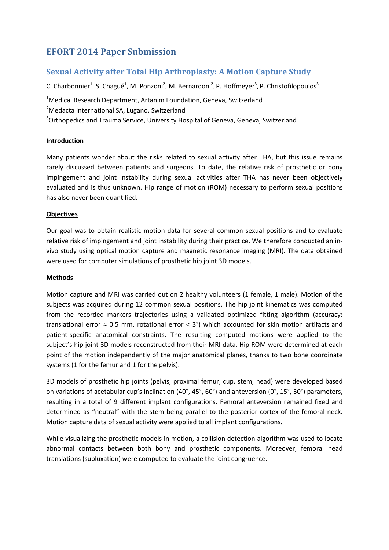# **EFORT 2014 Paper Submission**

# **Sexual Activity after Total Hip Arthroplasty: A Motion Capture Study**

C. Charbonnier<sup>1</sup>, S. Chagué<sup>1</sup>, M. Ponzoni<sup>2</sup>, M. Bernardoni<sup>2</sup>, P. Hoffmeyer<sup>3</sup>, P. Christofilopoulos<sup>3</sup>

<sup>1</sup>Medical Research Department, Artanim Foundation, Geneva, Switzerland <sup>2</sup>Medacta International SA, Lugano, Switzerland <sup>3</sup>Orthopedics and Trauma Service, University Hospital of Geneva, Geneva, Switzerland

## **Introduction**

Many patients wonder about the risks related to sexual activity after THA, but this issue remains rarely discussed between patients and surgeons. To date, the relative risk of prosthetic or bony impingement and joint instability during sexual activities after THA has never been objectively evaluated and is thus unknown. Hip range of motion (ROM) necessary to perform sexual positions has also never been quantified.

### **Objectives**

Our goal was to obtain realistic motion data for several common sexual positions and to evaluate relative risk of impingement and joint instability during their practice. We therefore conducted an invivo study using optical motion capture and magnetic resonance imaging (MRI). The data obtained were used for computer simulations of prosthetic hip joint 3D models.

### **Methods**

Motion capture and MRI was carried out on 2 healthy volunteers (1 female, 1 male). Motion of the subjects was acquired during 12 common sexual positions. The hip joint kinematics was computed from the recorded markers trajectories using a validated optimized fitting algorithm (accuracy: translational error  $\approx$  0.5 mm, rotational error < 3°) which accounted for skin motion artifacts and patient-specific anatomical constraints. The resulting computed motions were applied to the subject's hip joint 3D models reconstructed from their MRI data. Hip ROM were determined at each point of the motion independently of the major anatomical planes, thanks to two bone coordinate systems (1 for the femur and 1 for the pelvis).

3D models of prosthetic hip joints (pelvis, proximal femur, cup, stem, head) were developed based on variations of acetabular cup's inclination (40°, 45°, 60°) and anteversion (0°, 15°, 30°) parameters, resulting in a total of 9 different implant configurations. Femoral anteversion remained fixed and determined as "neutral" with the stem being parallel to the posterior cortex of the femoral neck. Motion capture data of sexual activity were applied to all implant configurations.

While visualizing the prosthetic models in motion, a collision detection algorithm was used to locate abnormal contacts between both bony and prosthetic components. Moreover, femoral head translations (subluxation) were computed to evaluate the joint congruence.